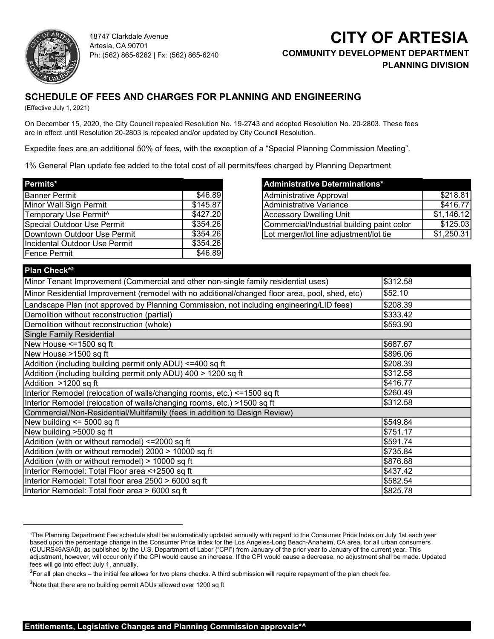

18747 Clarkdale Avenue Artesia, CA 90701 Ph: (562) 865-6262 | Fx: (562) 865-6240

## **CITY OF ARTESIA** COMMUNITY DEVELOPMENT DEPARTMENT PLANNING DIVISION PLANNING DIVISION

## SCHEDULE OF FEES AND CHARGES FOR PLANNING AND ENGINEERING

(Effective July 1, 2021)

On December 15, 2020, the City Council repealed Resolution No. 19-2743 and adopted Resolution No. 20-2803. These fees are in effect until Resolution 20-2803 is repealed and/or updated by City Council Resolution.

Expedite fees are an additional 50% of fees, with the exception of a "Special Planning Commission Meeting".

1% General Plan update fee added to the total cost of all permits/fees charged by Planning Department

| Permits*                          |          | Administrative Determinations*       |
|-----------------------------------|----------|--------------------------------------|
| Banner Permit                     | \$46.89  | Administrative Approval              |
| Minor Wall Sign Permit            | \$145.87 | Administrative Variance              |
| Temporary Use Permit <sup>^</sup> | \$427.20 | IAccessorv Dwelling Unit             |
| Special Outdoor Use Permit        | \$354.26 | Commercial/Industrial building pai   |
| Downtown Outdoor Use Permit       | \$354.26 | Lot merger/lot line adjustment/lot t |
| Incidental Outdoor Use Permit     | \$354.26 |                                      |
| Fence Permit                      | \$46.89  |                                      |

|          | <b>Administrative Determinations*</b>      |            |
|----------|--------------------------------------------|------------|
| \$46.89  | Administrative Approval                    | \$218.81   |
| \$145.87 | Administrative Variance                    | \$416.77   |
| \$427.20 | Accessory Dwelling Unit                    | \$1,146.12 |
| \$354.26 | Commercial/Industrial building paint color | \$125.03   |
| \$354.26 | Lot merger/lot line adjustment/lot tie     | \$1,250.31 |

## Plan Check\*²

| <b>Plan Check*</b>                                                                                                                                                                                                                                                                                                                                                                                                                                                                                                                                                                                                                                                                                                                                                                                |          |
|---------------------------------------------------------------------------------------------------------------------------------------------------------------------------------------------------------------------------------------------------------------------------------------------------------------------------------------------------------------------------------------------------------------------------------------------------------------------------------------------------------------------------------------------------------------------------------------------------------------------------------------------------------------------------------------------------------------------------------------------------------------------------------------------------|----------|
| Minor Tenant Improvement (Commercial and other non-single family residential uses)                                                                                                                                                                                                                                                                                                                                                                                                                                                                                                                                                                                                                                                                                                                | \$312.58 |
| Minor Residential Improvement (remodel with no additional/changed floor area, pool, shed, etc)                                                                                                                                                                                                                                                                                                                                                                                                                                                                                                                                                                                                                                                                                                    | \$52.10  |
| Landscape Plan (not approved by Planning Commission, not including engineering/LID fees)                                                                                                                                                                                                                                                                                                                                                                                                                                                                                                                                                                                                                                                                                                          | \$208.39 |
| Demolition without reconstruction (partial)                                                                                                                                                                                                                                                                                                                                                                                                                                                                                                                                                                                                                                                                                                                                                       | \$333.42 |
| Demolition without reconstruction (whole)                                                                                                                                                                                                                                                                                                                                                                                                                                                                                                                                                                                                                                                                                                                                                         | \$593.90 |
| <b>Single Family Residential</b>                                                                                                                                                                                                                                                                                                                                                                                                                                                                                                                                                                                                                                                                                                                                                                  |          |
| New House <=1500 sq ft                                                                                                                                                                                                                                                                                                                                                                                                                                                                                                                                                                                                                                                                                                                                                                            | \$687.67 |
| New House >1500 sq ft                                                                                                                                                                                                                                                                                                                                                                                                                                                                                                                                                                                                                                                                                                                                                                             | \$896.06 |
| Addition (including building permit only ADU) <=400 sq ft                                                                                                                                                                                                                                                                                                                                                                                                                                                                                                                                                                                                                                                                                                                                         | \$208.39 |
| Addition (including building permit only ADU) 400 > 1200 sq ft                                                                                                                                                                                                                                                                                                                                                                                                                                                                                                                                                                                                                                                                                                                                    | \$312.58 |
| Addition >1200 sq ft                                                                                                                                                                                                                                                                                                                                                                                                                                                                                                                                                                                                                                                                                                                                                                              | \$416.77 |
| Interior Remodel (relocation of walls/changing rooms, etc.) <= 1500 sq ft                                                                                                                                                                                                                                                                                                                                                                                                                                                                                                                                                                                                                                                                                                                         | \$260.49 |
| Interior Remodel (relocation of walls/changing rooms, etc.) >1500 sq ft                                                                                                                                                                                                                                                                                                                                                                                                                                                                                                                                                                                                                                                                                                                           | \$312.58 |
| Commercial/Non-Residential/Multifamily (fees in addition to Design Review)                                                                                                                                                                                                                                                                                                                                                                                                                                                                                                                                                                                                                                                                                                                        |          |
| New building $\leq$ 5000 sq ft                                                                                                                                                                                                                                                                                                                                                                                                                                                                                                                                                                                                                                                                                                                                                                    | \$549.84 |
| New building >5000 sq ft                                                                                                                                                                                                                                                                                                                                                                                                                                                                                                                                                                                                                                                                                                                                                                          | \$751.17 |
| Addition (with or without remodel) <= 2000 sq ft                                                                                                                                                                                                                                                                                                                                                                                                                                                                                                                                                                                                                                                                                                                                                  | \$591.74 |
| Addition (with or without remodel) 2000 > 10000 sq ft                                                                                                                                                                                                                                                                                                                                                                                                                                                                                                                                                                                                                                                                                                                                             | \$735.84 |
| Addition (with or without remodel) > 10000 sq ft                                                                                                                                                                                                                                                                                                                                                                                                                                                                                                                                                                                                                                                                                                                                                  | \$876.88 |
| Interior Remodel: Total Floor area <+2500 sq ft                                                                                                                                                                                                                                                                                                                                                                                                                                                                                                                                                                                                                                                                                                                                                   | \$437.42 |
| Interior Remodel: Total floor area 2500 > 6000 sq ft                                                                                                                                                                                                                                                                                                                                                                                                                                                                                                                                                                                                                                                                                                                                              | \$582.54 |
| Interior Remodel: Total floor area > 6000 sq ft                                                                                                                                                                                                                                                                                                                                                                                                                                                                                                                                                                                                                                                                                                                                                   | \$825.78 |
| <sup>1</sup> The Planning Department Fee schedule shall be automatically updated annually with regard to the Consumer Price Index on July 1st each year<br>based upon the percentage change in the Consumer Price Index for the Los Angeles-Long Beach-Anaheim, CA area, for all urban consumers<br>(CUURS49ASA0), as published by the U.S. Department of Labor ("CPI") from January of the prior year to January of the current year. This<br>adjustment, however, will occur only if the CPI would cause an increase. If the CPI would cause a decrease, no adjustment shall be made. Updated<br>fees will go into effect July 1, annually.<br><sup>2</sup> For all plan checks – the initial fee allows for two plans checks. A third submission will require repayment of the plan check fee. |          |
| <sup>3</sup> Note that there are no building permit ADUs allowed over 1200 sq ft                                                                                                                                                                                                                                                                                                                                                                                                                                                                                                                                                                                                                                                                                                                  |          |
| Entitlemente Legislative Changes and Blanning Commission conveyslate                                                                                                                                                                                                                                                                                                                                                                                                                                                                                                                                                                                                                                                                                                                              |          |

based upon the percentage change in the Consumer Price Index for the Los Angeles-Long Beach-Anaheim, CA area, for all urban consumers (CUURS49ASA0), as published by the U.S. Department of Labor ("CPI") from January of the prior year to January of the current year. This adjustment, however, will occur only if the CPI would cause an increase. If the CPI would cause a decrease, no adjustment shall be made. Updated fees will go into effect July 1, annually.